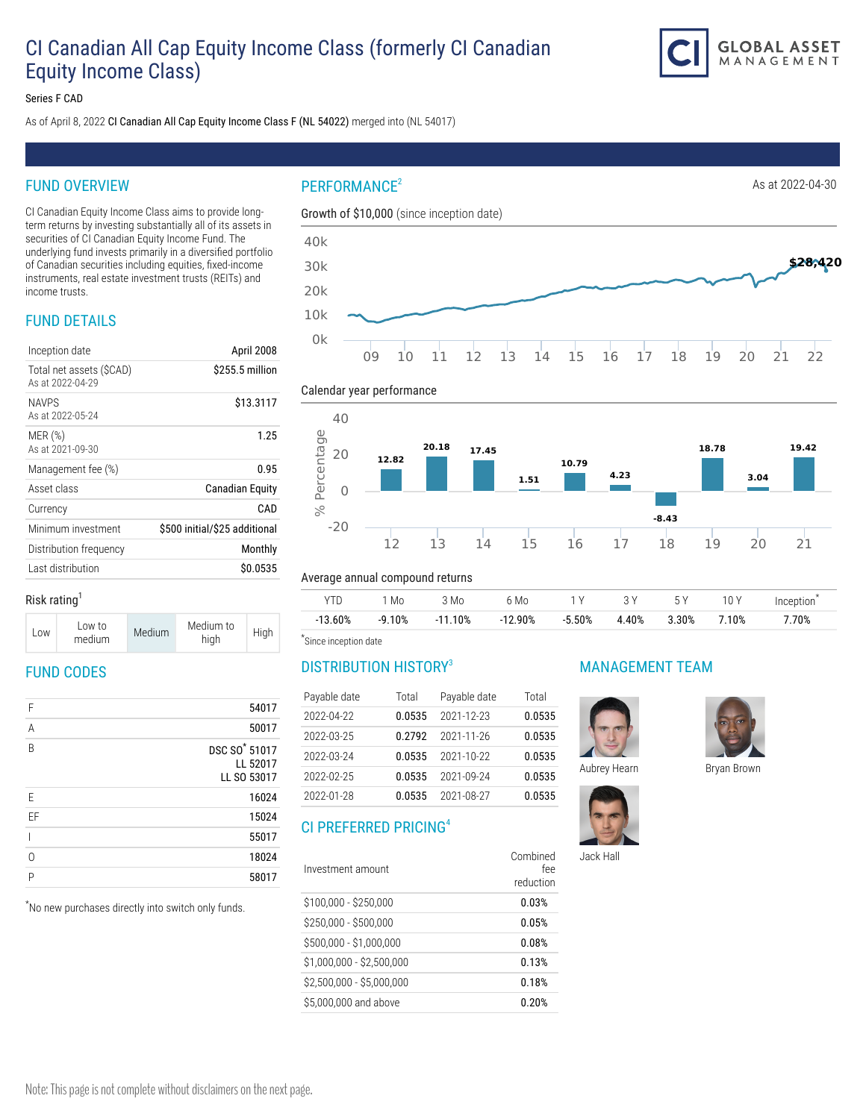# CI Canadian All Cap Equity Income Class (formerly CI Canadian Equity Income Class)



Series F CAD

As of April 8, 2022 CI Canadian All Cap Equity Income Class F (NL 54022) merged into (NL 54017)

# FUND OVERVIEW

CI Canadian Equity Income Class aims to provide longterm returns by investing substantially all of its assets in securities of CI Canadian Equity Income Fund. The underlying fund invests primarily in a diversified portfolio of Canadian securities including equities, fixed-income instruments, real estate investment trusts (REITs) and income trusts.

# FUND DETAILS

| Inception date                              | April 2008                    |
|---------------------------------------------|-------------------------------|
| Total net assets (SCAD)<br>As at 2022-04-29 | \$255.5 million               |
| <b>NAVPS</b><br>As at 2022-05-24            | \$13.3117                     |
| MER(%)<br>As at 2021-09-30                  | 1.25                          |
| Management fee (%)                          | 0.95                          |
| Asset class                                 | Canadian Equity               |
| Currency                                    | CAD                           |
| Minimum investment                          | \$500 initial/\$25 additional |
| Distribution frequency                      | Monthly                       |
| Last distribution                           | \$0.0535                      |
|                                             |                               |

## $PERFORMANCE<sup>2</sup>$  As at 2022-04-30

Calendar year performance





### Risk rating $<sup>1</sup>$ </sup>

| LOW | Low to<br>medium | Medium | Medium to<br>high | High |
|-----|------------------|--------|-------------------|------|
|-----|------------------|--------|-------------------|------|

# FUND CODES

| F  | 54017                                                |
|----|------------------------------------------------------|
| A  | 50017                                                |
| B  | DSC SO <sup>*</sup> 51017<br>LL 52017<br>LL SO 53017 |
| E  | 16024                                                |
| EF | 15024                                                |
|    | 55017                                                |
| O  | 18024                                                |
| P  | 58017                                                |
|    |                                                      |

\* No new purchases directly into switch only funds.

### Average annual compound returns

|            | ' Mo     | 3 Mo      | 6 Mo      | 1 V      | - 3 Y | 5 Y   | 10 Y  | Inception |
|------------|----------|-----------|-----------|----------|-------|-------|-------|-----------|
| $-13.60\%$ | $-9.10%$ | $-11.10%$ | $-12.90%$ | $-5.50%$ | 4.40% | 3.30% | 7.10% | $7.70\%$  |

\* Since inception date

# DISTRIBUTION HISTORY<sup>3</sup>

| Payable date | Total  | Payable date | Total  |
|--------------|--------|--------------|--------|
| 2022-04-22   | 0.0535 | 2021-12-23   | 0.0535 |
| 2022-03-25   | 0.2792 | 2021-11-26   | 0.0535 |
| 2022-03-24   | 0.0535 | 2021-10-22   | 0.0535 |
| 2022-02-25   | 0.0535 | 2021-09-24   | 0.0535 |
| 2022-01-28   | 0.0535 | 2021-08-27   | 0.0535 |

# CI PREFERRED PRICING<sup>4</sup>

| Combined<br>fee<br>reduction |
|------------------------------|
| 0.03%                        |
| 0.05%                        |
| 0.08%                        |
| 0.13%                        |
| 0.18%                        |
| 0.20%                        |
|                              |

## MANAGEMENT TEAM





Jack Hall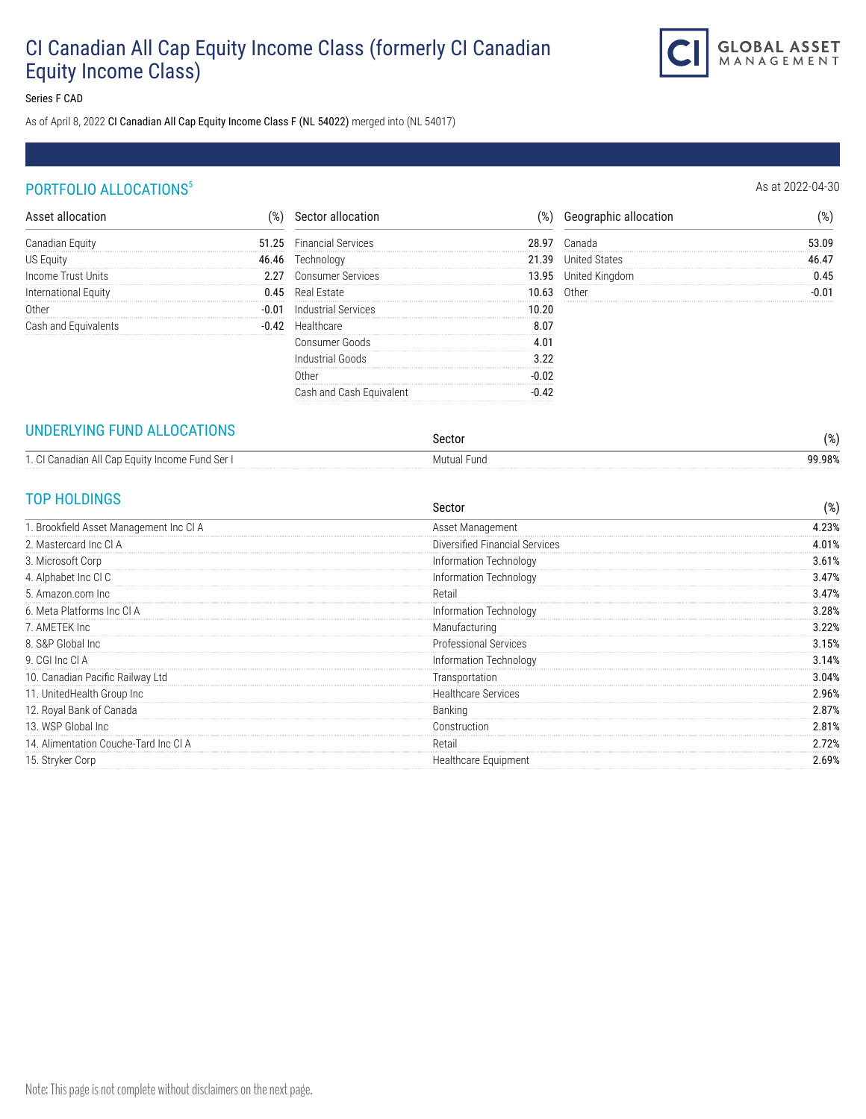# CI Canadian All Cap Equity Income Class (formerly CI Canadian Equity Income Class)



Series F CAD

As of April 8, 2022 CI Canadian All Cap Equity Income Class F (NL 54022) merged into (NL 54017)

# PORTFOLIO ALLOCATIONS<sup>5</sup> and the set of the set of the set of the set of the set of the set of the set of the set of the set of the set of the set of the set of the set of the set of the set of the set of the set of the se

|                    | 51.25 | <b>Financial Services</b> |       |                |  |
|--------------------|-------|---------------------------|-------|----------------|--|
|                    |       |                           |       |                |  |
| Income Trust Units |       | <b>Consumer Services</b>  | 13.95 | United Kingdom |  |
| ational Equity     |       | Real Estate               |       | lther (        |  |
|                    |       |                           |       |                |  |
|                    |       |                           |       |                |  |
|                    |       | Consumer Goods            |       |                |  |
|                    |       |                           |       |                |  |
|                    |       |                           |       |                |  |
|                    |       |                           |       |                |  |

## UNDERLYING FUND ALLOCATIONS

| <u>UNDERENTING LUND ALLOUATIONS</u>             | Sector                   | 0۷ /<br>  7o J |
|-------------------------------------------------|--------------------------|----------------|
| 1. CI Canadian All Cap Equity Income Fund Ser I | Fund<br>Mutual I<br>טווע | 99.98%         |

# TOP HOLDINGS

| Sector                         | $(\%)$ |
|--------------------------------|--------|
| Asset Management               | 4.23%  |
| Diversified Financial Services | 4.01%  |
| Information Technology         | 3.61%  |
| Information Technology         | 3.47%  |
| Retail                         | 3.47%  |
| Information Technology         | 3.28%  |
| Manufacturing                  | 3.22%  |
| Professional Services          | 3.15%  |
| Information Technology         | 3.14%  |
| Transportation                 | 3.04%  |
| <b>Healthcare Services</b>     | 2.96%  |
| Banking                        | 2.87%  |
| Construction                   | 2.81%  |
| Retail                         | 2.72%  |
| Healthcare Equipment           | 2.69%  |
|                                |        |